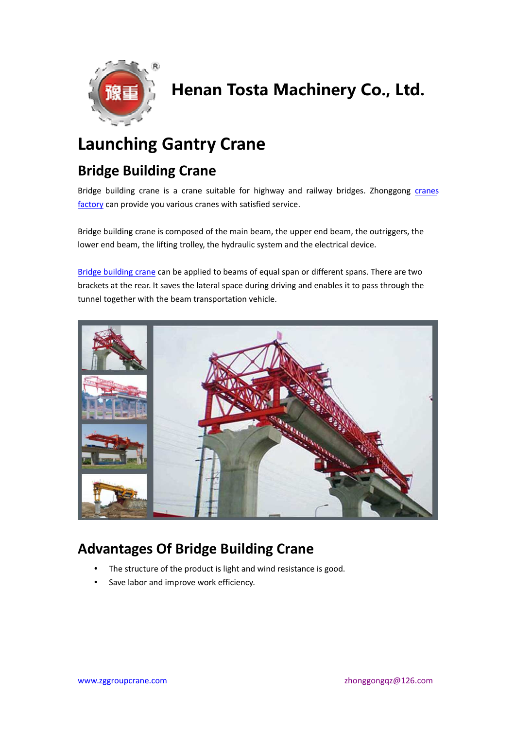

# Henan Tosta Machinery Co., Ltd.

## **Launching Gantry Crane**

#### **Bridge Building Crane**

Bridge building crane is a crane suitable for highway and railway bridges. Zhonggong cranes factory can provide you various cranes with satisfied service.

Bridge building crane is composed of the main beam, the upper end beam, the outriggers, the lower end beam, the lifting trolley, the hydraulic system and the electrical device.

Bridge building crane can be applied to beams of equal span or different spans. There are two brackets at the rear. It saves the lateral space during driving and enables it to pass through the tunnel together with the beam transportation vehicle.



#### **Advantages Of Bridge Building Crane**

- The structure of the product is light and wind resistance is good.
- Save labor and improve work efficiency.